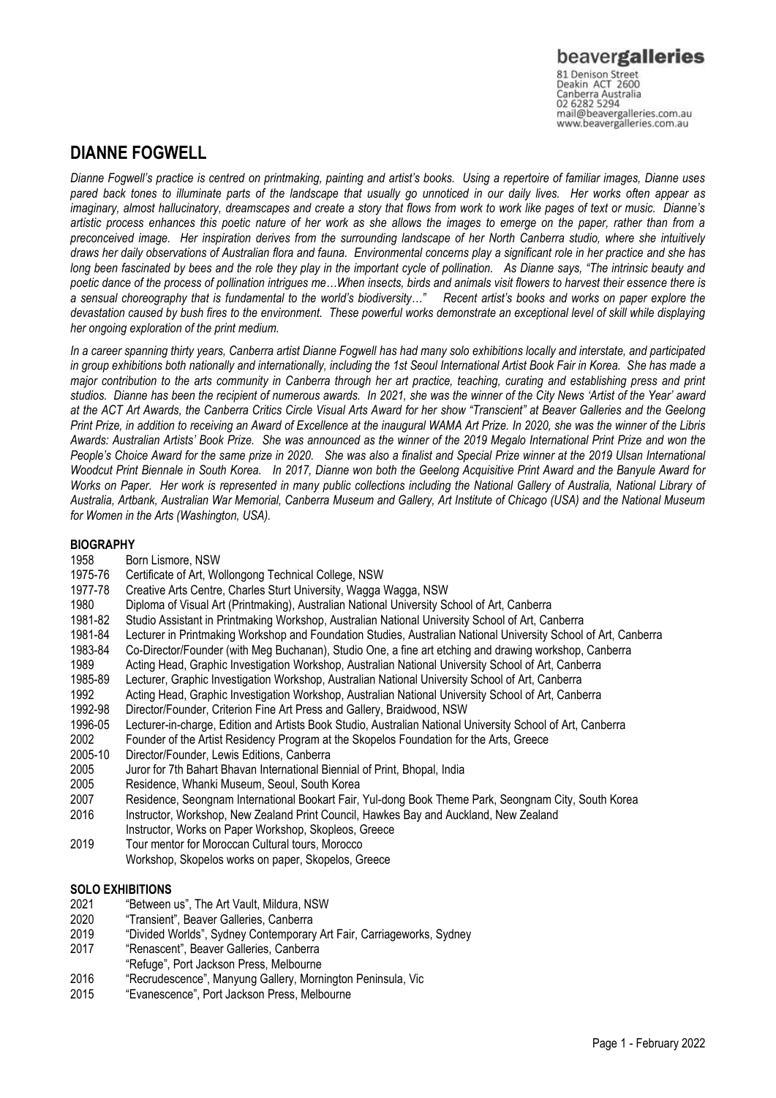## **DIANNE FOGWELL**

*Dianne Fogwell's practice is centred on printmaking, painting and artist's books. Using a repertoire of familiar images, Dianne uses pared back tones to illuminate parts of the landscape that usually go unnoticed in our daily lives. Her works often appear as imaginary, almost hallucinatory, dreamscapes and create a story that flows from work to work like pages of text or music. Dianne's artistic process enhances this poetic nature of her work as she allows the images to emerge on the paper, rather than from a preconceived image. Her inspiration derives from the surrounding landscape of her North Canberra studio, where she intuitively draws her daily observations of Australian flora and fauna. Environmental concerns play a significant role in her practice and she has long been fascinated by bees and the role they play in the important cycle of pollination. As Dianne says, "The intrinsic beauty and poetic dance of the process of pollination intrigues me…When insects, birds and animals visit flowers to harvest their essence there is a sensual choreography that is fundamental to the world's biodiversity…" Recent artist's books and works on paper explore the devastation caused by bush fires to the environment. These powerful works demonstrate an exceptional level of skill while displaying her ongoing exploration of the print medium.* 

*In a career spanning thirty years, Canberra artist Dianne Fogwell has had many solo exhibitions locally and interstate, and participated in group exhibitions both nationally and internationally, including the 1st Seoul International Artist Book Fair in Korea. She has made a major contribution to the arts community in Canberra through her art practice, teaching, curating and establishing press and print studios. Dianne has been the recipient of numerous awards. In 2021, she was the winner of the City News 'Artist of the Year' award at the ACT Art Awards, the Canberra Critics Circle Visual Arts Award for her show "Transcient" at Beaver Galleries and the Geelong Print Prize, in addition to receiving an Award of Excellence at the inaugural WAMA Art Prize. In 2020, she was the winner of the Libris Awards: Australian Artists' Book Prize. She was announced as the winner of the 2019 Megalo International Print Prize and won the People's Choice Award for the same prize in 2020. She was also a finalist and Special Prize winner at the 2019 Ulsan International Woodcut Print Biennale in South Korea. In 2017, Dianne won both the Geelong Acquisitive Print Award and the Banyule Award for*  Works on Paper. Her work is represented in many public collections including the National Gallery of Australia, National Library of *Australia, Artbank, Australian War Memorial, Canberra Museum and Gallery, Art Institute of Chicago (USA) and the National Museum for Women in the Arts (Washington, USA).*

### **BIOGRAPHY**

- 1958 Born Lismore, NSW
- 1975-76 Certificate of Art, Wollongong Technical College, NSW
- 1977-78 Creative Arts Centre, Charles Sturt University, Wagga Wagga, NSW
- 1980 Diploma of Visual Art (Printmaking), Australian National University School of Art, Canberra
- 1981-82 Studio Assistant in Printmaking Workshop, Australian National University School of Art, Canberra
- 1981-84 Lecturer in Printmaking Workshop and Foundation Studies, Australian National University School of Art, Canberra<br>1983-84 Co-Director/Founder (with Meg Buchanan). Studio One, a fine art etching and drawing workshop.
- Co-Director/Founder (with Meg Buchanan), Studio One, a fine art etching and drawing workshop, Canberra
- 1989 Acting Head, Graphic Investigation Workshop, Australian National University School of Art, Canberra
- 1985-89 Lecturer, Graphic Investigation Workshop, Australian National University School of Art, Canberra
- 1992 Acting Head, Graphic Investigation Workshop, Australian National University School of Art, Canberra
- 1992-98 Director/Founder, Criterion Fine Art Press and Gallery, Braidwood, NSW
- 1996-05 Lecturer-in-charge, Edition and Artists Book Studio, Australian National University School of Art, Canberra
- 2002 Founder of the Artist Residency Program at the Skopelos Foundation for the Arts, Greece
- 2005-10 Director/Founder, Lewis Editions, Canberra
- 2005 Juror for 7th Bahart Bhavan International Biennial of Print, Bhopal, India
- 2005 Residence, Whanki Museum, Seoul, South Korea
- 2007 Residence, Seongnam International Bookart Fair, Yul-dong Book Theme Park, Seongnam City, South Korea
- 2016 Instructor, Workshop, New Zealand Print Council, Hawkes Bay and Auckland, New Zealand
- Instructor, Works on Paper Workshop, Skopleos, Greece
- 2019 Tour mentor for Moroccan Cultural tours, Morocco
	- Workshop, Skopelos works on paper, Skopelos, Greece

### **SOLO EXHIBITIONS**

- 2021 "Between us", The Art Vault, Mildura, NSW
- 2020 "Transient", Beaver Galleries, Canberra
- 2019 "Divided Worlds", Sydney Contemporary Art Fair, Carriageworks, Sydney
- 2017 "Renascent", Beaver Galleries, Canberra
- "Refuge", Port Jackson Press, Melbourne
- 2016 "Recrudescence", Manyung Gallery, Mornington Peninsula, Vic<br>2015 "Evanescence" Port Jackson Press Melbourne
- "Evanescence", Port Jackson Press, Melbourne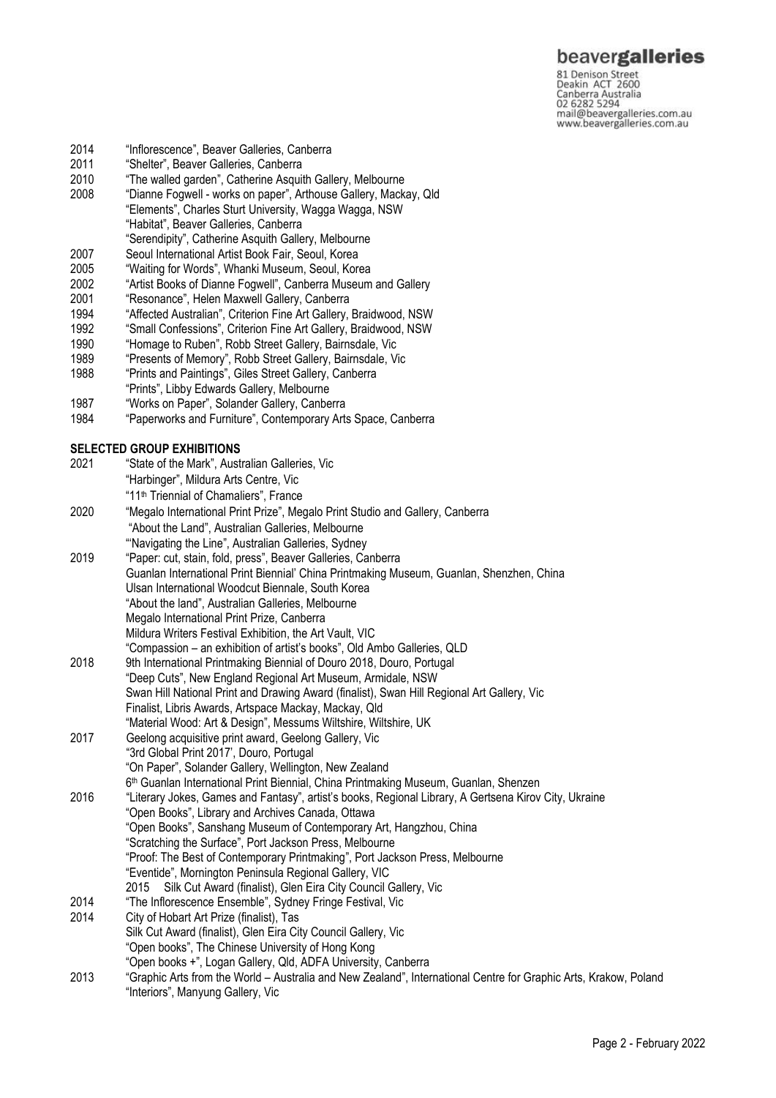## beavergalleries

81 Denison Street<br>Deakin ACT 2600 Canberra Australia<br>02 6282 5294<br>mail@beavergalleries.com.au www.beavergalleries.com.au

- 2014 "Inflorescence", Beaver Galleries, Canberra<br>2011 "Shelter", Beaver Galleries, Canberra
- 2011 "Shelter", Beaver Galleries, Canberra<br>2010 "The walled garden", Catherine Asqui
- 2010 "The walled garden", Catherine Asquith Gallery, Melbourne<br>2008 "Dianne Fogwell works on paper", Arthouse Gallery, Mack
- "Dianne Fogwell works on paper", Arthouse Gallery, Mackay, Qld "Elements", Charles Sturt University, Wagga Wagga, NSW
- "Habitat", Beaver Galleries, Canberra
- "Serendipity", Catherine Asquith Gallery, Melbourne
- 2007 Seoul International Artist Book Fair, Seoul, Korea
- 2005 "Waiting for Words", Whanki Museum, Seoul, Korea
- 2002 "Artist Books of Dianne Fogwell", Canberra Museum and Gallery<br>2001 "Resonance", Helen Maxwell Gallery, Canberra
- "Resonance", Helen Maxwell Gallery, Canberra
- 1994 "Affected Australian", Criterion Fine Art Gallery, Braidwood, NSW
- 1992 "Small Confessions", Criterion Fine Art Gallery, Braidwood, NSW
- 1990 "Homage to Ruben", Robb Street Gallery, Bairnsdale, Vic
- 1989 "Presents of Memory", Robb Street Gallery, Bairnsdale, Vic
- 1988 "Prints and Paintings", Giles Street Gallery, Canberra
- "Prints", Libby Edwards Gallery, Melbourne
- 1987 "Works on Paper", Solander Gallery, Canberra
- 1984 "Paperworks and Furniture", Contemporary Arts Space, Canberra

#### **SELECTED GROUP EXHIBITIONS**

| 2021 | "State of the Mark", Australian Galleries, Vic                                                                   |
|------|------------------------------------------------------------------------------------------------------------------|
|      | "Harbinger", Mildura Arts Centre, Vic                                                                            |
|      | "11 <sup>th</sup> Triennial of Chamaliers", France                                                               |
| 2020 | "Megalo International Print Prize", Megalo Print Studio and Gallery, Canberra                                    |
|      | "About the Land", Australian Galleries, Melbourne                                                                |
|      | "Navigating the Line", Australian Galleries, Sydney                                                              |
| 2019 | "Paper: cut, stain, fold, press", Beaver Galleries, Canberra                                                     |
|      | Guanlan International Print Biennial' China Printmaking Museum, Guanlan, Shenzhen, China                         |
|      | Ulsan International Woodcut Biennale, South Korea                                                                |
|      | "About the land", Australian Galleries, Melbourne                                                                |
|      | Megalo International Print Prize, Canberra                                                                       |
|      | Mildura Writers Festival Exhibition, the Art Vault, VIC                                                          |
|      | "Compassion - an exhibition of artist's books", Old Ambo Galleries, QLD                                          |
| 2018 | 9th International Printmaking Biennial of Douro 2018, Douro, Portugal                                            |
|      | "Deep Cuts", New England Regional Art Museum, Armidale, NSW                                                      |
|      | Swan Hill National Print and Drawing Award (finalist), Swan Hill Regional Art Gallery, Vic                       |
|      | Finalist, Libris Awards, Artspace Mackay, Mackay, Qld                                                            |
|      | "Material Wood: Art & Design", Messums Wiltshire, Wiltshire, UK                                                  |
| 2017 | Geelong acquisitive print award, Geelong Gallery, Vic                                                            |
|      | "3rd Global Print 2017", Douro, Portugal                                                                         |
|      | "On Paper", Solander Gallery, Wellington, New Zealand                                                            |
|      | 6 <sup>th</sup> Guanlan International Print Biennial, China Printmaking Museum, Guanlan, Shenzen                 |
| 2016 | "Literary Jokes, Games and Fantasy", artist's books, Regional Library, A Gertsena Kirov City, Ukraine            |
|      | "Open Books", Library and Archives Canada, Ottawa                                                                |
|      | "Open Books", Sanshang Museum of Contemporary Art, Hangzhou, China                                               |
|      | "Scratching the Surface", Port Jackson Press, Melbourne                                                          |
|      | "Proof: The Best of Contemporary Printmaking", Port Jackson Press, Melbourne                                     |
|      | "Eventide", Mornington Peninsula Regional Gallery, VIC                                                           |
|      | Silk Cut Award (finalist), Glen Eira City Council Gallery, Vic<br>2015                                           |
| 2014 | "The Inflorescence Ensemble", Sydney Fringe Festival, Vic                                                        |
| 2014 | City of Hobart Art Prize (finalist), Tas                                                                         |
|      | Silk Cut Award (finalist), Glen Eira City Council Gallery, Vic                                                   |
|      | "Open books", The Chinese University of Hong Kong                                                                |
|      | "Open books +", Logan Gallery, Qld, ADFA University, Canberra                                                    |
| 2013 | "Graphic Arts from the World - Australia and New Zealand", International Centre for Graphic Arts, Krakow, Poland |
|      | "Interiors", Manyung Gallery, Vic                                                                                |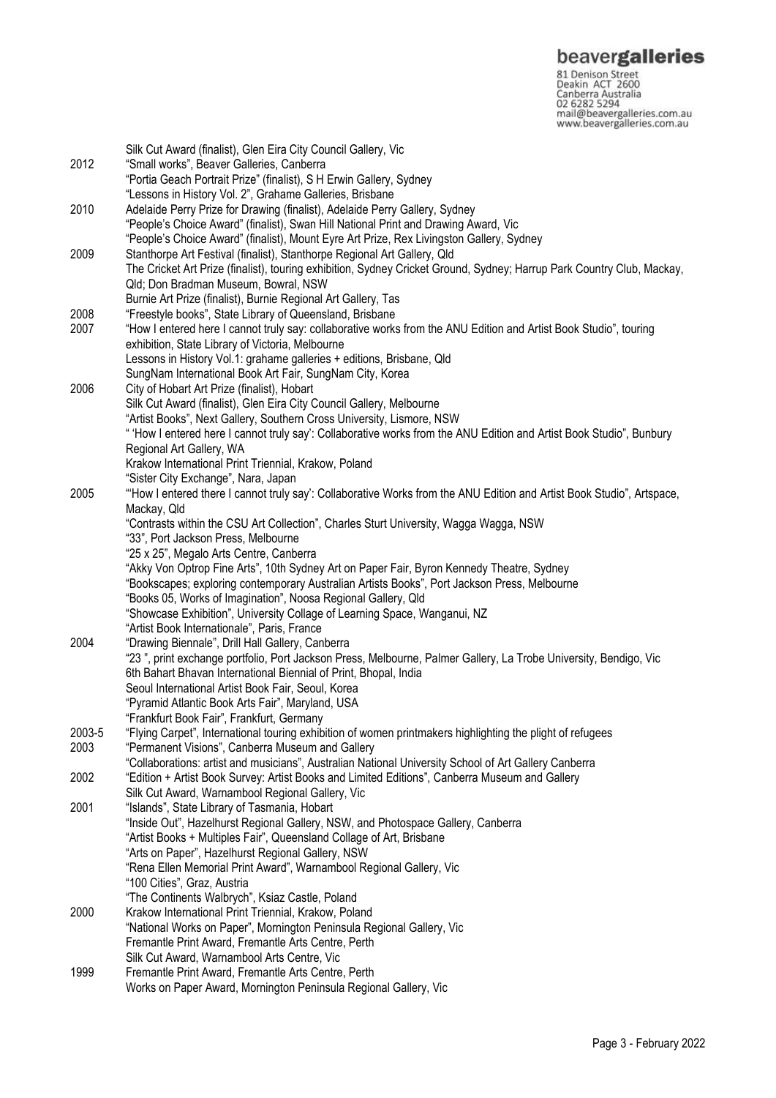**beavergalleries**<br> **81 Denison Street**<br>
Deakin ACT 2600<br>
Canberra Australia<br>
02 6282 5294<br>
mail@beavergalleries.com.au<br>
www.beavergalleries.com.au

| 2012           | Silk Cut Award (finalist), Glen Eira City Council Gallery, Vic<br>"Small works", Beaver Galleries, Canberra<br>"Portia Geach Portrait Prize" (finalist), S H Erwin Gallery, Sydney   |
|----------------|--------------------------------------------------------------------------------------------------------------------------------------------------------------------------------------|
| 2010           | "Lessons in History Vol. 2", Grahame Galleries, Brisbane<br>Adelaide Perry Prize for Drawing (finalist), Adelaide Perry Gallery, Sydney                                              |
|                | "People's Choice Award" (finalist), Swan Hill National Print and Drawing Award, Vic<br>"People's Choice Award" (finalist), Mount Eyre Art Prize, Rex Livingston Gallery, Sydney      |
| 2009           | Stanthorpe Art Festival (finalist), Stanthorpe Regional Art Gallery, Qld                                                                                                             |
|                | The Cricket Art Prize (finalist), touring exhibition, Sydney Cricket Ground, Sydney; Harrup Park Country Club, Mackay,<br>Qld; Don Bradman Museum, Bowral, NSW                       |
| 2008           | Burnie Art Prize (finalist), Burnie Regional Art Gallery, Tas<br>"Freestyle books", State Library of Queensland, Brisbane                                                            |
| 2007           | "How I entered here I cannot truly say: collaborative works from the ANU Edition and Artist Book Studio", touring                                                                    |
|                | exhibition, State Library of Victoria, Melbourne                                                                                                                                     |
|                | Lessons in History Vol.1: grahame galleries + editions, Brisbane, Qld                                                                                                                |
|                | SungNam International Book Art Fair, SungNam City, Korea                                                                                                                             |
| 2006           | City of Hobart Art Prize (finalist), Hobart                                                                                                                                          |
|                | Silk Cut Award (finalist), Glen Eira City Council Gallery, Melbourne                                                                                                                 |
|                | "Artist Books", Next Gallery, Southern Cross University, Lismore, NSW                                                                                                                |
|                | " 'How I entered here I cannot truly say': Collaborative works from the ANU Edition and Artist Book Studio", Bunbury<br>Regional Art Gallery, WA                                     |
|                | Krakow International Print Triennial, Krakow, Poland                                                                                                                                 |
|                | "Sister City Exchange", Nara, Japan                                                                                                                                                  |
| 2005           | "How I entered there I cannot truly say': Collaborative Works from the ANU Edition and Artist Book Studio", Artspace,                                                                |
|                | Mackay, Qld                                                                                                                                                                          |
|                | "Contrasts within the CSU Art Collection", Charles Sturt University, Wagga Wagga, NSW                                                                                                |
|                | "33", Port Jackson Press, Melbourne                                                                                                                                                  |
|                | "25 x 25", Megalo Arts Centre, Canberra<br>"Akky Von Optrop Fine Arts", 10th Sydney Art on Paper Fair, Byron Kennedy Theatre, Sydney                                                 |
|                | "Bookscapes; exploring contemporary Australian Artists Books", Port Jackson Press, Melbourne                                                                                         |
|                | "Books 05, Works of Imagination", Noosa Regional Gallery, Qld                                                                                                                        |
|                | "Showcase Exhibition", University Collage of Learning Space, Wanganui, NZ                                                                                                            |
|                | "Artist Book Internationale", Paris, France                                                                                                                                          |
| 2004           | "Drawing Biennale", Drill Hall Gallery, Canberra                                                                                                                                     |
|                | "23", print exchange portfolio, Port Jackson Press, Melbourne, Palmer Gallery, La Trobe University, Bendigo, Vic<br>6th Bahart Bhavan International Biennial of Print, Bhopal, India |
|                | Seoul International Artist Book Fair, Seoul, Korea                                                                                                                                   |
|                | "Pyramid Atlantic Book Arts Fair", Maryland, USA                                                                                                                                     |
|                | "Frankfurt Book Fair", Frankfurt, Germany                                                                                                                                            |
| 2003-5<br>2003 | "Flying Carpet", International touring exhibition of women printmakers highlighting the plight of refugees                                                                           |
|                | "Permanent Visions", Canberra Museum and Gallery<br>"Collaborations: artist and musicians", Australian National University School of Art Gallery Canberra                            |
| 2002           | "Edition + Artist Book Survey: Artist Books and Limited Editions", Canberra Museum and Gallery                                                                                       |
|                | Silk Cut Award, Warnambool Regional Gallery, Vic                                                                                                                                     |
| 2001           | "Islands", State Library of Tasmania, Hobart                                                                                                                                         |
|                | "Inside Out", Hazelhurst Regional Gallery, NSW, and Photospace Gallery, Canberra                                                                                                     |
|                | "Artist Books + Multiples Fair", Queensland Collage of Art, Brisbane                                                                                                                 |
|                | "Arts on Paper", Hazelhurst Regional Gallery, NSW                                                                                                                                    |
|                | "Rena Ellen Memorial Print Award", Warnambool Regional Gallery, Vic                                                                                                                  |
|                | "100 Cities", Graz, Austria<br>"The Continents Walbrych", Ksiaz Castle, Poland                                                                                                       |
| 2000           | Krakow International Print Triennial, Krakow, Poland                                                                                                                                 |
|                | "National Works on Paper", Mornington Peninsula Regional Gallery, Vic                                                                                                                |
|                | Fremantle Print Award, Fremantle Arts Centre, Perth                                                                                                                                  |
|                | Silk Cut Award, Warnambool Arts Centre, Vic                                                                                                                                          |
| 1999           | Fremantle Print Award, Fremantle Arts Centre, Perth                                                                                                                                  |
|                | Works on Paper Award, Mornington Peninsula Regional Gallery, Vic                                                                                                                     |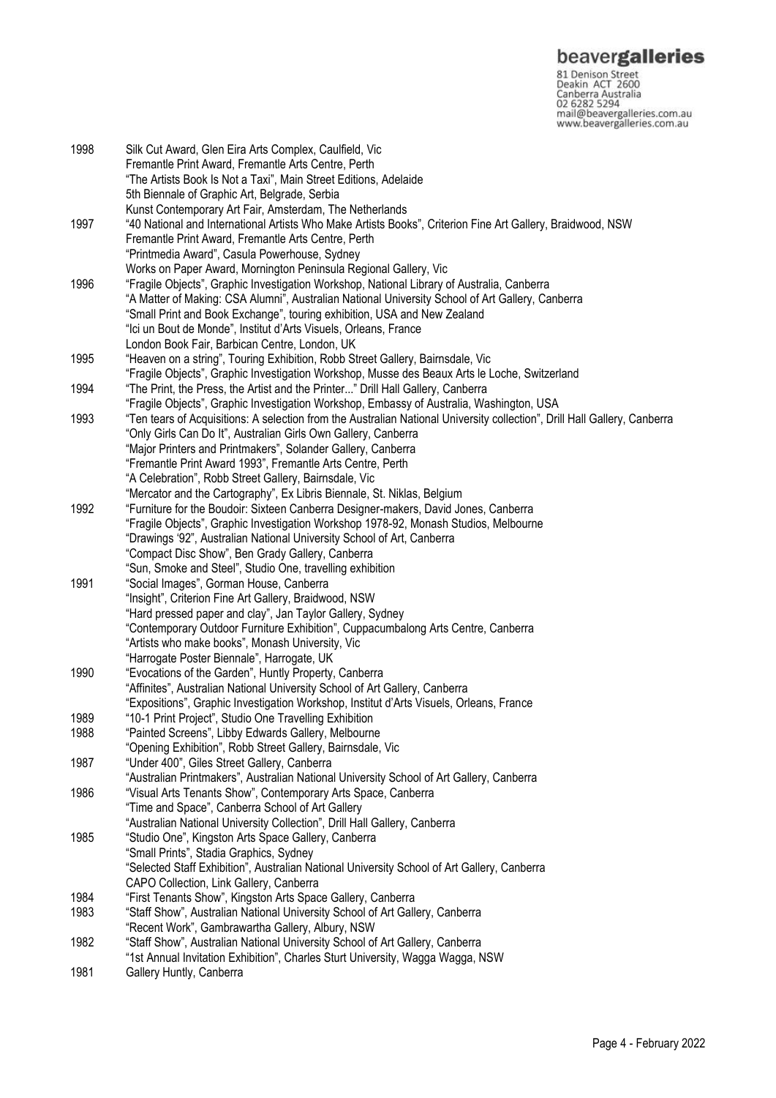**beavergalleries**<br> **81 Denison Street**<br>
Deakin ACT 2600<br>
Canberra Australia<br>
02 6282 5294<br>
mail@beavergalleries.com.au<br>
www.beavergalleries.com.au

| 1998 | Silk Cut Award, Glen Eira Arts Complex, Caulfield, Vic                                                                    |
|------|---------------------------------------------------------------------------------------------------------------------------|
|      | Fremantle Print Award, Fremantle Arts Centre, Perth                                                                       |
|      | "The Artists Book Is Not a Taxi", Main Street Editions, Adelaide                                                          |
|      | 5th Biennale of Graphic Art, Belgrade, Serbia                                                                             |
|      |                                                                                                                           |
|      | Kunst Contemporary Art Fair, Amsterdam, The Netherlands                                                                   |
| 1997 | 40 National and International Artists Who Make Artists Books", Criterion Fine Art Gallery, Braidwood, NSW                 |
|      | Fremantle Print Award, Fremantle Arts Centre, Perth                                                                       |
|      | "Printmedia Award", Casula Powerhouse, Sydney                                                                             |
|      | Works on Paper Award, Mornington Peninsula Regional Gallery, Vic                                                          |
| 1996 | "Fragile Objects", Graphic Investigation Workshop, National Library of Australia, Canberra                                |
|      | "A Matter of Making: CSA Alumni", Australian National University School of Art Gallery, Canberra                          |
|      | "Small Print and Book Exchange", touring exhibition, USA and New Zealand                                                  |
|      | "Ici un Bout de Monde", Institut d'Arts Visuels, Orleans, France                                                          |
|      | London Book Fair, Barbican Centre, London, UK                                                                             |
| 1995 | "Heaven on a string", Touring Exhibition, Robb Street Gallery, Bairnsdale, Vic                                            |
|      |                                                                                                                           |
|      | "Fragile Objects", Graphic Investigation Workshop, Musse des Beaux Arts le Loche, Switzerland                             |
| 1994 | "The Print, the Press, the Artist and the Printer" Drill Hall Gallery, Canberra                                           |
|      | "Fragile Objects", Graphic Investigation Workshop, Embassy of Australia, Washington, USA                                  |
| 1993 | "Ten tears of Acquisitions: A selection from the Australian National University collection", Drill Hall Gallery, Canberra |
|      | "Only Girls Can Do It", Australian Girls Own Gallery, Canberra                                                            |
|      | "Major Printers and Printmakers", Solander Gallery, Canberra                                                              |
|      | "Fremantle Print Award 1993", Fremantle Arts Centre, Perth                                                                |
|      | "A Celebration", Robb Street Gallery, Bairnsdale, Vic                                                                     |
|      | "Mercator and the Cartography", Ex Libris Biennale, St. Niklas, Belgium                                                   |
| 1992 | "Furniture for the Boudoir: Sixteen Canberra Designer-makers, David Jones, Canberra                                       |
|      | "Fragile Objects", Graphic Investigation Workshop 1978-92, Monash Studios, Melbourne                                      |
|      |                                                                                                                           |
|      | "Drawings '92", Australian National University School of Art, Canberra                                                    |
|      | "Compact Disc Show", Ben Grady Gallery, Canberra                                                                          |
|      | "Sun, Smoke and Steel", Studio One, travelling exhibition                                                                 |
| 1991 | "Social Images", Gorman House, Canberra                                                                                   |
|      | "Insight", Criterion Fine Art Gallery, Braidwood, NSW                                                                     |
|      | "Hard pressed paper and clay", Jan Taylor Gallery, Sydney                                                                 |
|      | "Contemporary Outdoor Furniture Exhibition", Cuppacumbalong Arts Centre, Canberra                                         |
|      | "Artists who make books", Monash University, Vic                                                                          |
|      | "Harrogate Poster Biennale", Harrogate, UK                                                                                |
| 1990 | "Evocations of the Garden", Huntly Property, Canberra                                                                     |
|      | "Affinites", Australian National University School of Art Gallery, Canberra                                               |
|      | "Expositions", Graphic Investigation Workshop, Institut d'Arts Visuels, Orleans, France                                   |
| 1989 | "10-1 Print Project", Studio One Travelling Exhibition                                                                    |
| 1988 | "Painted Screens", Libby Edwards Gallery, Melbourne                                                                       |
|      |                                                                                                                           |
| 1987 | "Opening Exhibition", Robb Street Gallery, Bairnsdale, Vic<br>"Under 400", Giles Street Gallery, Canberra                 |
|      |                                                                                                                           |
|      | "Australian Printmakers", Australian National University School of Art Gallery, Canberra                                  |
| 1986 | "Visual Arts Tenants Show", Contemporary Arts Space, Canberra                                                             |
|      | "Time and Space", Canberra School of Art Gallery                                                                          |
|      | "Australian National University Collection", Drill Hall Gallery, Canberra                                                 |
| 1985 | "Studio One", Kingston Arts Space Gallery, Canberra                                                                       |
|      | "Small Prints", Stadia Graphics, Sydney                                                                                   |
|      | "Selected Staff Exhibition", Australian National University School of Art Gallery, Canberra                               |
|      | CAPO Collection, Link Gallery, Canberra                                                                                   |
| 1984 | "First Tenants Show", Kingston Arts Space Gallery, Canberra                                                               |
| 1983 | "Staff Show", Australian National University School of Art Gallery, Canberra                                              |
|      | "Recent Work", Gambrawartha Gallery, Albury, NSW                                                                          |
| 1982 | "Staff Show", Australian National University School of Art Gallery, Canberra                                              |
|      | "1st Annual Invitation Exhibition", Charles Sturt University, Wagga Wagga, NSW                                            |
| 1981 | Gallery Huntly, Canberra                                                                                                  |
|      |                                                                                                                           |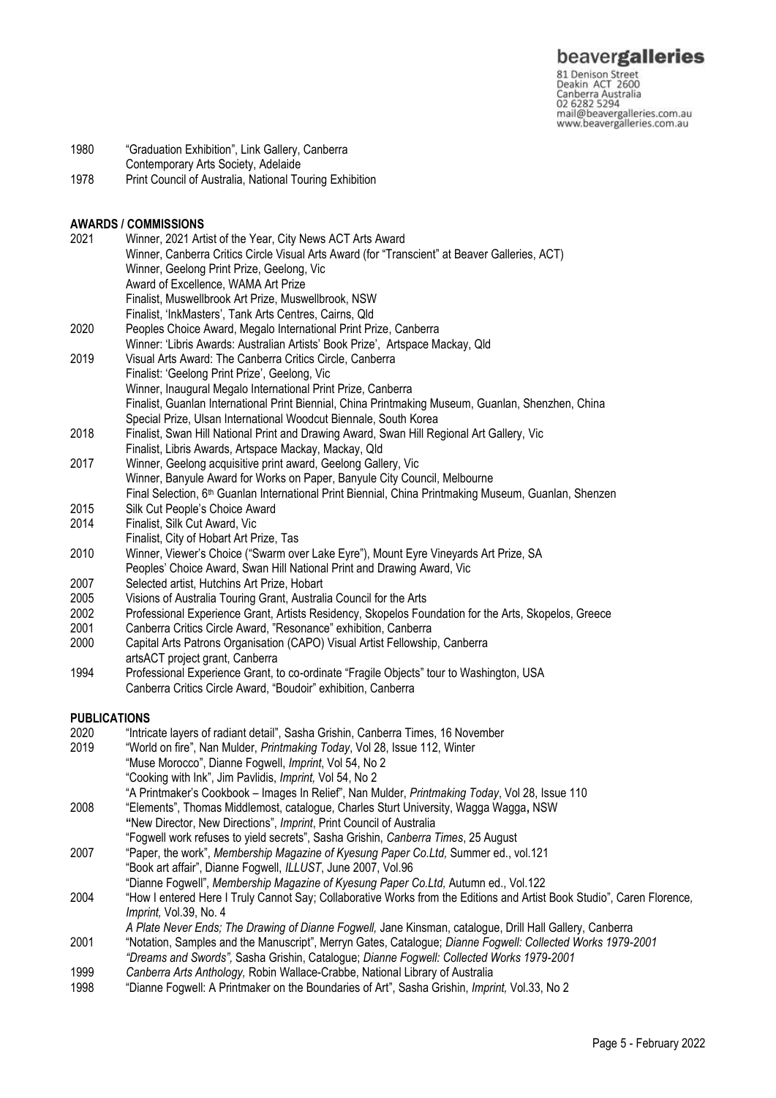## beavergalleries

81 Denison Street<br>Deakin ACT 2600 Canberra Australia 02 6282 5294 mail@beavergalleries.com.au www.beavergalleries.com.au

- 1980 "Graduation Exhibition", Link Gallery, Canberra
- Contemporary Arts Society, Adelaide
- 1978 Print Council of Australia, National Touring Exhibition

# **AWARDS / COMMISSIONS**

- 2021 Winner, 2021 Artist of the Year, City News ACT Arts Award Winner, Canberra Critics Circle Visual Arts Award (for "Transcient" at Beaver Galleries, ACT) Winner, Geelong Print Prize, Geelong, Vic Award of Excellence, WAMA Art Prize Finalist, Muswellbrook Art Prize, Muswellbrook, NSW Finalist, 'InkMasters', Tank Arts Centres, Cairns, Qld 2020 Peoples Choice Award, Megalo International Print Prize, Canberra Winner: 'Libris Awards: Australian Artists' Book Prize', Artspace Mackay, Qld 2019 Visual Arts Award: The Canberra Critics Circle, Canberra Finalist: 'Geelong Print Prize', Geelong, Vic Winner, Inaugural Megalo International Print Prize, Canberra
- Finalist, Guanlan International Print Biennial, China Printmaking Museum, Guanlan, Shenzhen, China Special Prize, Ulsan International Woodcut Biennale, South Korea
- 2018 Finalist, Swan Hill National Print and Drawing Award, Swan Hill Regional Art Gallery, Vic
- Finalist, Libris Awards, Artspace Mackay, Mackay, Qld
- 2017 Winner, Geelong acquisitive print award, Geelong Gallery, Vic Winner, Banyule Award for Works on Paper, Banyule City Council, Melbourne Final Selection, 6<sup>th</sup> Guanlan International Print Biennial, China Printmaking Museum, Guanlan, Shenzen
- 2015 Silk Cut People's Choice Award
- 2014 Finalist, Silk Cut Award, Vic
- Finalist, City of Hobart Art Prize, Tas
- 2010 Winner, Viewer's Choice ("Swarm over Lake Eyre"), Mount Eyre Vineyards Art Prize, SA
- Peoples' Choice Award, Swan Hill National Print and Drawing Award, Vic
- 2007 Selected artist, Hutchins Art Prize, Hobart<br>2005 Visions of Australia Touring Grant, Austral
- Visions of Australia Touring Grant, Australia Council for the Arts
- 2002 Professional Experience Grant, Artists Residency, Skopelos Foundation for the Arts, Skopelos, Greece
- 2001 Canberra Critics Circle Award, "Resonance" exhibition, Canberra
- 2000 Capital Arts Patrons Organisation (CAPO) Visual Artist Fellowship, Canberra artsACT project grant, Canberra
- 1994 Professional Experience Grant, to co-ordinate "Fragile Objects" tour to Washington, USA Canberra Critics Circle Award, "Boudoir" exhibition, Canberra

### **PUBLICATIONS**

- 2020 "Intricate layers of radiant detail", Sasha Grishin, Canberra Times, 16 November<br>2019 "World on fire", Nan Mulder, Printmaking Todav, Vol 28, Issue 112, Winter
- 2019 "World on fire", Nan Mulder, *Printmaking Today*, Vol 28, Issue 112, Winter "Muse Morocco", Dianne Fogwell, *Imprint*, Vol 54, No 2 "Cooking with Ink", Jim Pavlidis, *Imprint,* Vol 54, No 2
	- "A Printmaker's Cookbook Images In Relief", Nan Mulder, *Printmaking Today*, Vol 28, Issue 110
- 2008 "Elements", Thomas Middlemost, catalogue, Charles Sturt University, Wagga Wagga**,** NSW **"**New Director, New Directions", *Imprint*, Print Council of Australia
- "Fogwell work refuses to yield secrets", Sasha Grishin, *Canberra Times*, 25 August 2007 "Paper, the work", *Membership Magazine of Kyesung Paper Co.Ltd,* Summer ed., vol.121 "Book art affair", Dianne Fogwell, *ILLUST*, June 2007, Vol.96
	- "Dianne Fogwell", *Membership Magazine of Kyesung Paper Co.Ltd,* Autumn ed., Vol.122
- 2004 "How I entered Here I Truly Cannot Say; Collaborative Works from the Editions and Artist Book Studio", Caren Florence*, Imprint,* Vol.39, No. 4
	- *A Plate Never Ends; The Drawing of Dianne Fogwell,* Jane Kinsman, catalogue, Drill Hall Gallery, Canberra
- 2001 "Notation, Samples and the Manuscript", Merryn Gates, Catalogue; *Dianne Fogwell: Collected Works 1979-2001 "Dreams and Swords",* Sasha Grishin, Catalogue; *Dianne Fogwell: Collected Works 1979-2001*
- 1999 *Canberra Arts Anthology,* Robin Wallace-Crabbe, National Library of Australia
- 1998 "Dianne Fogwell: A Printmaker on the Boundaries of Art", Sasha Grishin, *Imprint,* Vol.33, No 2